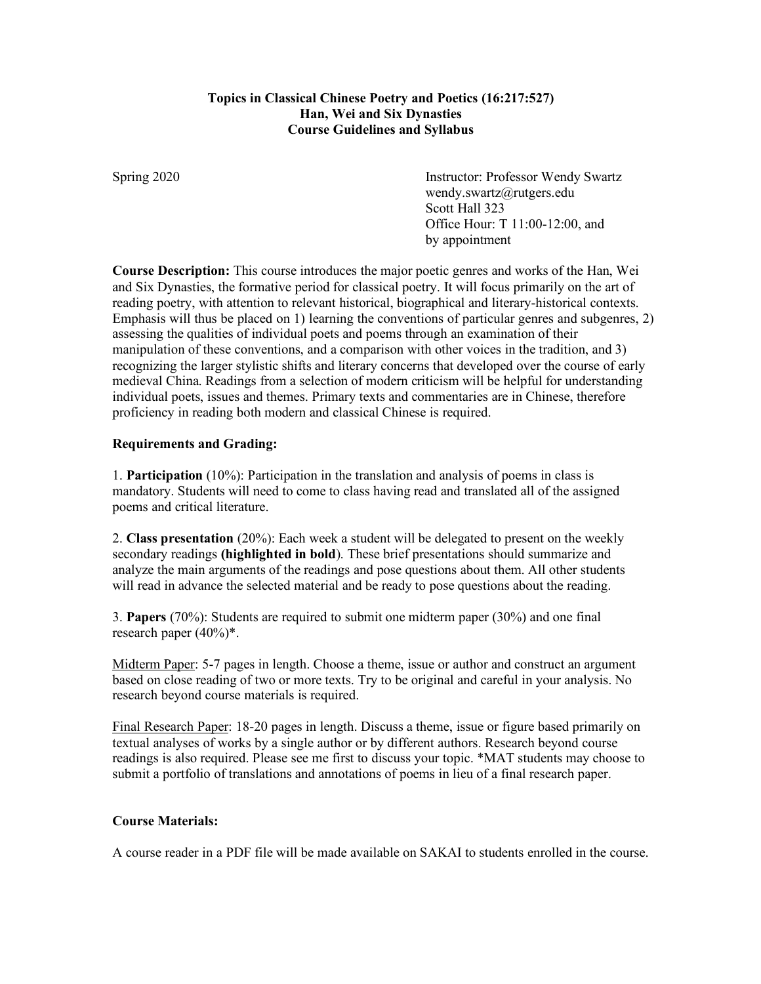# **Topics in Classical Chinese Poetry and Poetics (16:217:527) Han, Wei and Six Dynasties Course Guidelines and Syllabus**

Spring 2020 Instructor: Professor Wendy Swartz wendy.swartz@rutgers.edu Scott Hall 323 Office Hour: T 11:00-12:00, and by appointment

**Course Description:** This course introduces the major poetic genres and works of the Han, Wei and Six Dynasties, the formative period for classical poetry. It will focus primarily on the art of reading poetry, with attention to relevant historical, biographical and literary-historical contexts. Emphasis will thus be placed on 1) learning the conventions of particular genres and subgenres, 2) assessing the qualities of individual poets and poems through an examination of their manipulation of these conventions, and a comparison with other voices in the tradition, and 3) recognizing the larger stylistic shifts and literary concerns that developed over the course of early medieval China. Readings from a selection of modern criticism will be helpful for understanding individual poets, issues and themes. Primary texts and commentaries are in Chinese, therefore proficiency in reading both modern and classical Chinese is required.

# **Requirements and Grading:**

1. **Participation** (10%): Participation in the translation and analysis of poems in class is mandatory. Students will need to come to class having read and translated all of the assigned poems and critical literature.

2. **Class presentation** (20%): Each week a student will be delegated to present on the weekly secondary readings **(highlighted in bold**). These brief presentations should summarize and analyze the main arguments of the readings and pose questions about them. All other students will read in advance the selected material and be ready to pose questions about the reading.

3. **Papers** (70%): Students are required to submit one midterm paper (30%) and one final research paper (40%)\*.

Midterm Paper: 5-7 pages in length. Choose a theme, issue or author and construct an argument based on close reading of two or more texts. Try to be original and careful in your analysis. No research beyond course materials is required.

Final Research Paper: 18-20 pages in length. Discuss a theme, issue or figure based primarily on textual analyses of works by a single author or by different authors. Research beyond course readings is also required. Please see me first to discuss your topic. \*MAT students may choose to submit a portfolio of translations and annotations of poems in lieu of a final research paper.

# **Course Materials:**

A course reader in a PDF file will be made available on SAKAI to students enrolled in the course.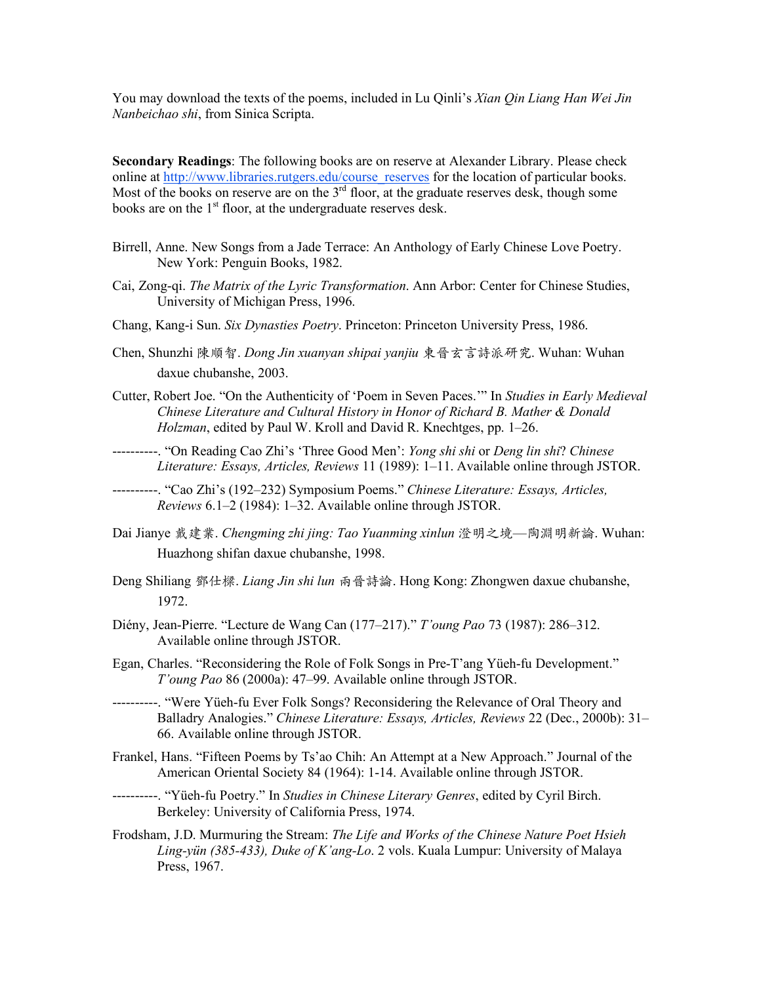You may download the texts of the poems, included in Lu Qinli's *Xian Qin Liang Han Wei Jin Nanbeichao shi*, from Sinica Scripta.

**Secondary Readings**: The following books are on reserve at Alexander Library. Please check online at http://www.libraries.rutgers.edu/course\_reserves for the location of particular books. Most of the books on reserve are on the  $3<sup>rd</sup>$  floor, at the graduate reserves desk, though some books are on the  $1<sup>st</sup>$  floor, at the undergraduate reserves desk.

- Birrell, Anne. New Songs from a Jade Terrace: An Anthology of Early Chinese Love Poetry. New York: Penguin Books, 1982.
- Cai, Zong-qi. *The Matrix of the Lyric Transformation*. Ann Arbor: Center for Chinese Studies, University of Michigan Press, 1996.
- Chang, Kang-i Sun. *Six Dynasties Poetry*. Princeton: Princeton University Press, 1986.
- Chen, Shunzhi 陳順智. *Dong Jin xuanyan shipai yanjiu* 東晉⽞⾔詩派研究. Wuhan: Wuhan daxue chubanshe, 2003.
- Cutter, Robert Joe. "On the Authenticity of 'Poem in Seven Paces.'" In *Studies in Early Medieval Chinese Literature and Cultural History in Honor of Richard B. Mather & Donald Holzman*, edited by Paul W. Kroll and David R. Knechtges, pp. 1–26.
- ----------. "On Reading Cao Zhi's 'Three Good Men': *Yong shi shi* or *Deng lin shi*? *Chinese Literature: Essays, Articles, Reviews* 11 (1989): 1–11. Available online through JSTOR.
- ----------. "Cao Zhi's (192–232) Symposium Poems." *Chinese Literature: Essays, Articles, Reviews* 6.1–2 (1984): 1–32. Available online through JSTOR.
- Dai Jianye 戴建業. *Chengming zhi jing: Tao Yuanming xinlun* 澄明之境—陶淵明新論. Wuhan: Huazhong shifan daxue chubanshe, 1998.
- Deng Shiliang 鄧仕樑. *Liang Jin shi lun* 兩晉詩論. Hong Kong: Zhongwen daxue chubanshe, 1972.
- Diény, Jean-Pierre. "Lecture de Wang Can (177–217)." *T'oung Pao* 73 (1987): 286–312. Available online through JSTOR.
- Egan, Charles. "Reconsidering the Role of Folk Songs in Pre-T'ang Yüeh-fu Development." *T'oung Pao* 86 (2000a): 47–99. Available online through JSTOR.
- ----------. "Were Yüeh-fu Ever Folk Songs? Reconsidering the Relevance of Oral Theory and Balladry Analogies." *Chinese Literature: Essays, Articles, Reviews* 22 (Dec., 2000b): 31– 66. Available online through JSTOR.
- Frankel, Hans. "Fifteen Poems by Ts'ao Chih: An Attempt at a New Approach." Journal of the American Oriental Society 84 (1964): 1-14. Available online through JSTOR.
- ----------. "Yüeh-fu Poetry." In *Studies in Chinese Literary Genres*, edited by Cyril Birch. Berkeley: University of California Press, 1974.
- Frodsham, J.D. Murmuring the Stream: *The Life and Works of the Chinese Nature Poet Hsieh Ling-yün (385-433), Duke of K'ang-Lo*. 2 vols. Kuala Lumpur: University of Malaya Press, 1967.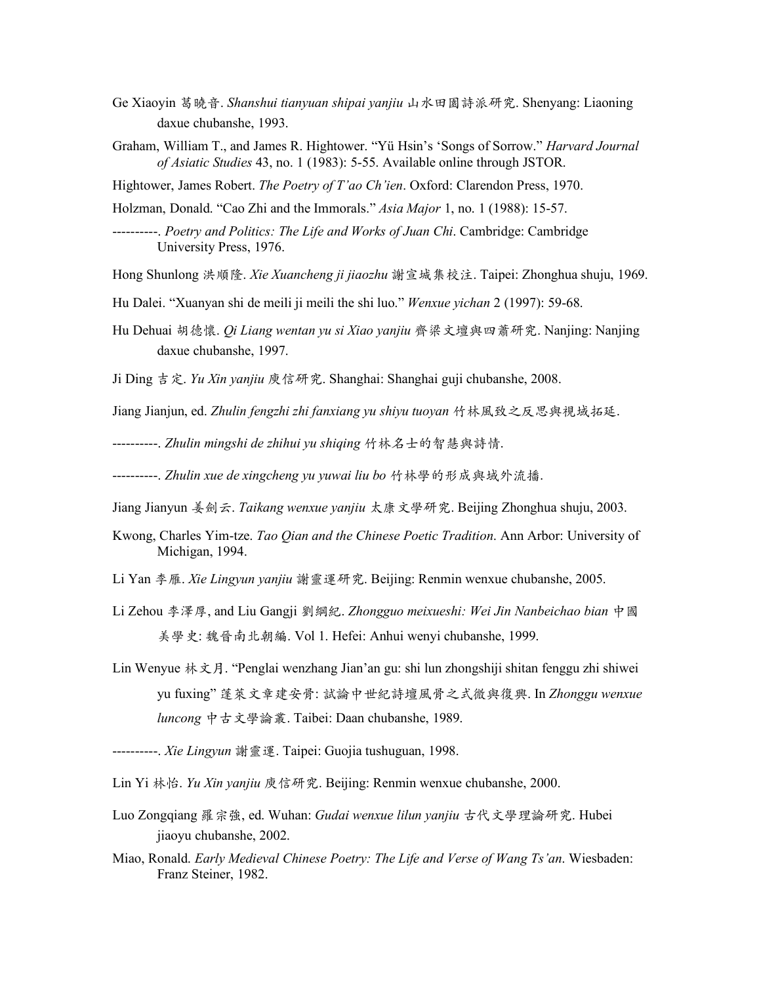- Ge Xiaoyin 葛曉音. *Shanshui tianyuan shipai yanjiu* 山水田園詩派研究. Shenyang: Liaoning daxue chubanshe, 1993.
- Graham, William T., and James R. Hightower. "Yü Hsin's 'Songs of Sorrow." *Harvard Journal of Asiatic Studies* 43, no. 1 (1983): 5-55. Available online through JSTOR.

Hightower, James Robert. *The Poetry of T'ao Ch'ien*. Oxford: Clarendon Press, 1970.

Holzman, Donald. "Cao Zhi and the Immorals." *Asia Major* 1, no. 1 (1988): 15-57.

- ----------. *Poetry and Politics: The Life and Works of Juan Chi*. Cambridge: Cambridge University Press, 1976.
- Hong Shunlong 洪順隆. *Xie Xuancheng ji jiaozhu* 謝宣城集校注. Taipei: Zhonghua shuju, 1969.
- Hu Dalei. "Xuanyan shi de meili ji meili the shi luo." *Wenxue yichan* 2 (1997): 59-68.
- Hu Dehuai 胡德懷. *Qi Liang wentan yu si Xiao yanjiu* ⿑梁⽂壇與四蕭研究. Nanjing: Nanjing daxue chubanshe, 1997.
- Ji Ding 吉定. *Yu Xin yanjiu* 庾信研究. Shanghai: Shanghai guji chubanshe, 2008.

Jiang Jianjun, ed. *Zhulin fengzhi zhi fanxiang yu shiyu tuoyan* ⽵林⾵致之反思與視域拓延.

----------. *Zhulin mingshi de zhihui yu shiqing* ⽵林名⼠的智慧與詩情.

----------. *Zhulin xue de xingcheng yu yuwai liu bo* ⽵林學的形成與域外流播.

- Jiang Jianyun 姜劍云. *Taikang wenxue yanjiu* 太康⽂學研究. Beijing Zhonghua shuju, 2003.
- Kwong, Charles Yim-tze. *Tao Qian and the Chinese Poetic Tradition*. Ann Arbor: University of Michigan, 1994.
- Li Yan 李雁. *Xie Lingyun yanjiu* 謝靈運研究. Beijing: Renmin wenxue chubanshe, 2005.
- Li Zehou 李澤厚, and Liu Gangji 劉綱紀. *Zhongguo meixueshi: Wei Jin Nanbeichao bian* 中國 美學史: 魏晉南北朝編. Vol 1. Hefei: Anhui wenyi chubanshe, 1999.
- Lin Wenyue 林⽂⽉. "Penglai wenzhang Jian'an gu: shi lun zhongshiji shitan fenggu zhi shiwei yu fuxing" 蓬萊⽂章建安⾻: 試論中世紀詩壇⾵⾻之式微與復興. In *Zhonggu wenxue luncong* 中古⽂學論叢. Taibei: Daan chubanshe, 1989.
- ----------. *Xie Lingyun* 謝靈運. Taipei: Guojia tushuguan, 1998.
- Lin Yi 林怡. *Yu Xin yanjiu* 庾信研究. Beijing: Renmin wenxue chubanshe, 2000.
- Luo Zongqiang 羅宗強, ed. Wuhan: *Gudai wenxue lilun yanjiu* 古代文學理論研究. Hubei jiaoyu chubanshe, 2002.
- Miao, Ronald. *Early Medieval Chinese Poetry: The Life and Verse of Wang Ts'an*. Wiesbaden: Franz Steiner, 1982.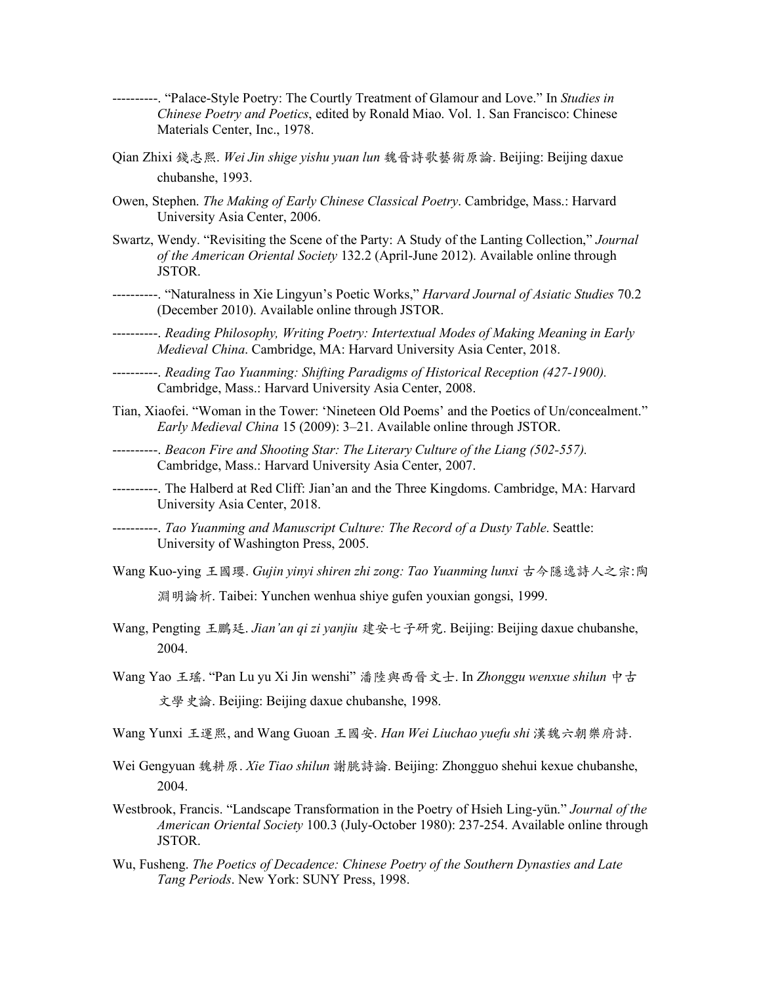- ----------. "Palace-Style Poetry: The Courtly Treatment of Glamour and Love." In *Studies in Chinese Poetry and Poetics*, edited by Ronald Miao. Vol. 1. San Francisco: Chinese Materials Center, Inc., 1978.
- Qian Zhixi 錢志熙. *Wei Jin shige yishu yuan lun* 魏晉詩歌藝術原論. Beijing: Beijing daxue chubanshe, 1993.
- Owen, Stephen. *The Making of Early Chinese Classical Poetry*. Cambridge, Mass.: Harvard University Asia Center, 2006.
- Swartz, Wendy. "Revisiting the Scene of the Party: A Study of the Lanting Collection," *Journal of the American Oriental Society* 132.2 (April-June 2012). Available online through JSTOR.
- ----------. "Naturalness in Xie Lingyun's Poetic Works," *Harvard Journal of Asiatic Studies* 70.2 (December 2010). Available online through JSTOR.
- ----------. *Reading Philosophy, Writing Poetry: Intertextual Modes of Making Meaning in Early Medieval China*. Cambridge, MA: Harvard University Asia Center, 2018.
- ----------. *Reading Tao Yuanming: Shifting Paradigms of Historical Reception (427-1900).* Cambridge, Mass.: Harvard University Asia Center, 2008.
- Tian, Xiaofei. "Woman in the Tower: 'Nineteen Old Poems' and the Poetics of Un/concealment." *Early Medieval China* 15 (2009): 3–21. Available online through JSTOR.
- ----------. *Beacon Fire and Shooting Star: The Literary Culture of the Liang (502-557).* Cambridge, Mass.: Harvard University Asia Center, 2007.
- ----------. The Halberd at Red Cliff: Jian'an and the Three Kingdoms. Cambridge, MA: Harvard University Asia Center, 2018.
- ----------. *Tao Yuanming and Manuscript Culture: The Record of a Dusty Table*. Seattle: University of Washington Press, 2005.
- Wang Kuo-ying 王國瓔. *Gujin yinyi shiren zhi zong: Tao Yuanming lunxi* 古今隱逸詩⼈之宗:陶 淵明論析. Taibei: Yunchen wenhua shiye gufen youxian gongsi, 1999.
- Wang, Pengting 王鵬廷. *Jian'an qi zi yanjiu* 建安七子研究. Beijing: Beijing daxue chubanshe, 2004.
- Wang Yao 王瑤. "Pan Lu yu Xi Jin wenshi" 潘陸與西晉文士. In *Zhonggu wenxue shilun* 中古 ⽂學史論. Beijing: Beijing daxue chubanshe, 1998.
- Wang Yunxi 王運熙, and Wang Guoan 王國安. *Han Wei Liuchao yuefu shi* 漢魏六朝樂府詩.
- Wei Gengyuan 魏耕原. *Xie Tiao shilun* 謝朓詩論. Beijing: Zhongguo shehui kexue chubanshe, 2004.
- Westbrook, Francis. "Landscape Transformation in the Poetry of Hsieh Ling-yün." *Journal of the American Oriental Society* 100.3 (July-October 1980): 237-254. Available online through JSTOR.
- Wu, Fusheng. *The Poetics of Decadence: Chinese Poetry of the Southern Dynasties and Late Tang Periods*. New York: SUNY Press, 1998.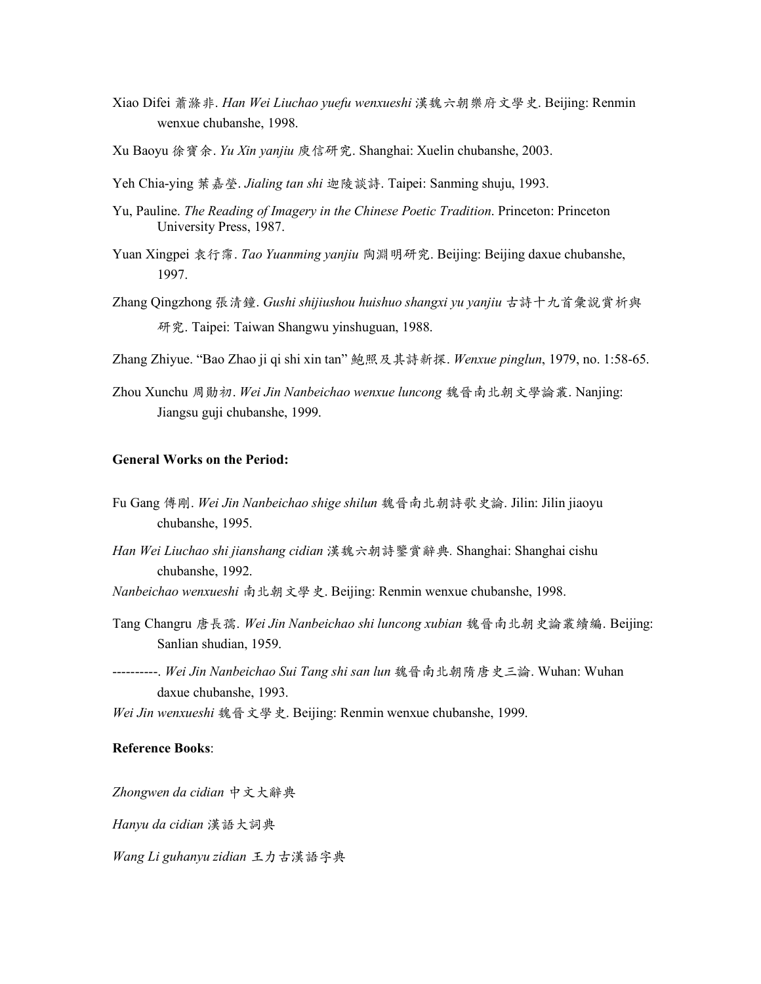- Xiao Difei 蕭滌⾮. *Han Wei Liuchao yuefu wenxueshi* 漢魏六朝樂府⽂學史. Beijing: Renmin wenxue chubanshe, 1998.
- Xu Baoyu 徐寶余. *Yu Xin yanjiu* 庾信研究. Shanghai: Xuelin chubanshe, 2003.
- Yeh Chia-ying 葉嘉瑩. *Jialing tan shi* 迦陵談詩. Taipei: Sanming shuju, 1993.
- Yu, Pauline. *The Reading of Imagery in the Chinese Poetic Tradition*. Princeton: Princeton University Press, 1987.
- Yuan Xingpei 袁⾏霈. *Tao Yuanming yanjiu* 陶淵明研究. Beijing: Beijing daxue chubanshe, 1997.
- Zhang Qingzhong 張清鐘. *Gushi shijiushou huishuo shangxi yu yanjiu* 古詩十九首彙說賞析與 研究. Taipei: Taiwan Shangwu yinshuguan, 1988.
- Zhang Zhiyue. "Bao Zhao ji qi shi xin tan" 鮑照及其詩新探. *Wenxue pinglun*, 1979, no. 1:58-65.
- Zhou Xunchu 周勛初. *Wei Jin Nanbeichao wenxue luncong* 魏晉南北朝⽂學論叢. Nanjing: Jiangsu guji chubanshe, 1999.

## **General Works on the Period:**

- Fu Gang 傅剛. *Wei Jin Nanbeichao shige shilun* 魏晉南北朝詩歌史論. Jilin: Jilin jiaoyu chubanshe, 1995.
- *Han Wei Liuchao shi jianshang cidian* 漢魏六朝詩鑒賞辭典*.* Shanghai: Shanghai cishu chubanshe, 1992.
- *Nanbeichao wenxueshi* 南北朝⽂學史. Beijing: Renmin wenxue chubanshe, 1998.
- Tang Changru 唐⾧孺. *Wei Jin Nanbeichao shi luncong xubian* 魏晉南北朝史論叢續編. Beijing: Sanlian shudian, 1959.
- ----------. *Wei Jin Nanbeichao Sui Tang shi san lun* 魏晉南北朝隋唐史三論. Wuhan: Wuhan daxue chubanshe, 1993.

*Wei Jin wenxueshi* 魏晉⽂學史. Beijing: Renmin wenxue chubanshe, 1999.

#### **Reference Books**:

*Zhongwen da cidian* 中⽂⼤辭典

*Hanyu da cidian* 漢語⼤詞典

*Wang Li guhanyu zidian* 王⼒古漢語字典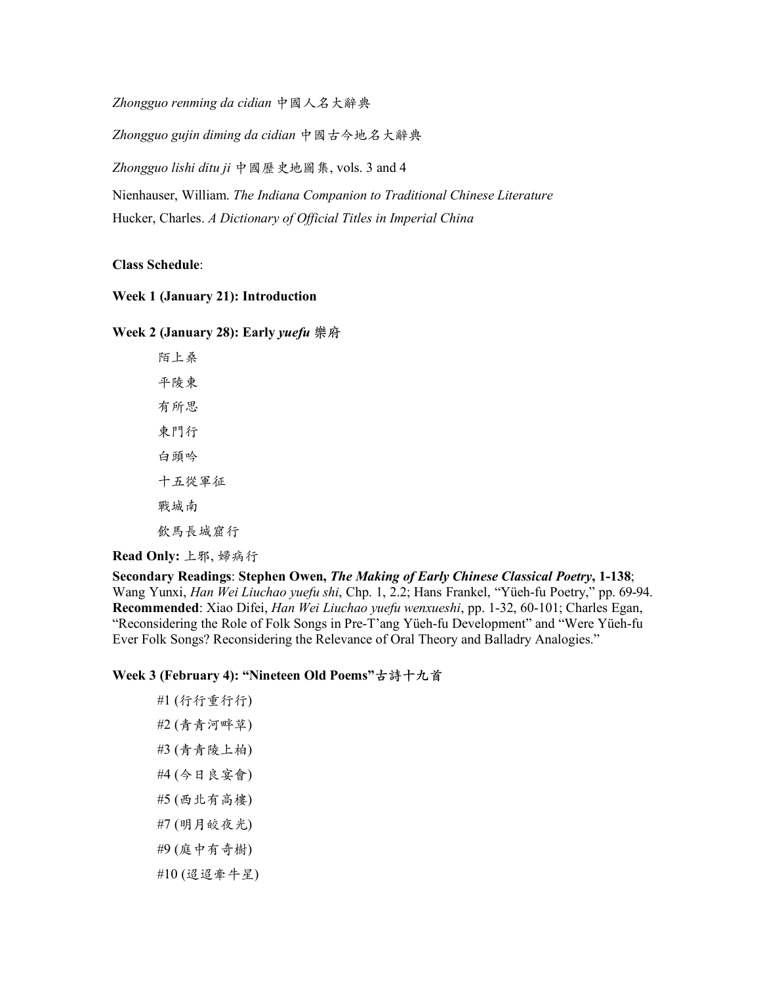*Zhongguo renming da cidian* 中國⼈名⼤辭典

*Zhongguo gujin diming da cidian* 中國古今地名⼤辭典

*Zhongguo lishi ditu ji* 中國歷史地圖集, vols. 3 and 4

Nienhauser, William. *The Indiana Companion to Traditional Chinese Literature* Hucker, Charles. *A Dictionary of Official Titles in Imperial China*

### **Class Schedule**:

# **Week 1 (January 21): Introduction**

### **Week 2 (January 28): Early** *yuefu* **樂府**

陌上桑 平陵東 有所思 東門行 白頭吟 十五從軍征 戰城南 飲馬長城窟行

**Read Only: 上邪, 婦病行** 

**Secondary Readings**: **Stephen Owen,** *The Making of Early Chinese Classical Poetry***, 1-138**; Wang Yunxi, *Han Wei Liuchao yuefu shi*, Chp. 1, 2.2; Hans Frankel, "Yüeh-fu Poetry," pp. 69-94. **Recommended**: Xiao Difei, *Han Wei Liuchao yuefu wenxueshi*, pp. 1-32, 60-101; Charles Egan, "Reconsidering the Role of Folk Songs in Pre-T'ang Yüeh-fu Development" and "Were Yüeh-fu Ever Folk Songs? Reconsidering the Relevance of Oral Theory and Balladry Analogies."

# **Week 3 (February 4): "Nineteen Old Poems"古詩⼗九⾸**

#1 (行行重行行) #2 (青青河畔草) #3 (青青陵上柏) #4 (今⽇良宴會) #5 (西北有⾼樓) #7 (明月皎夜光) #9 (庭中有奇樹)  $#10 ($  迢 迢 牽 牛 星 )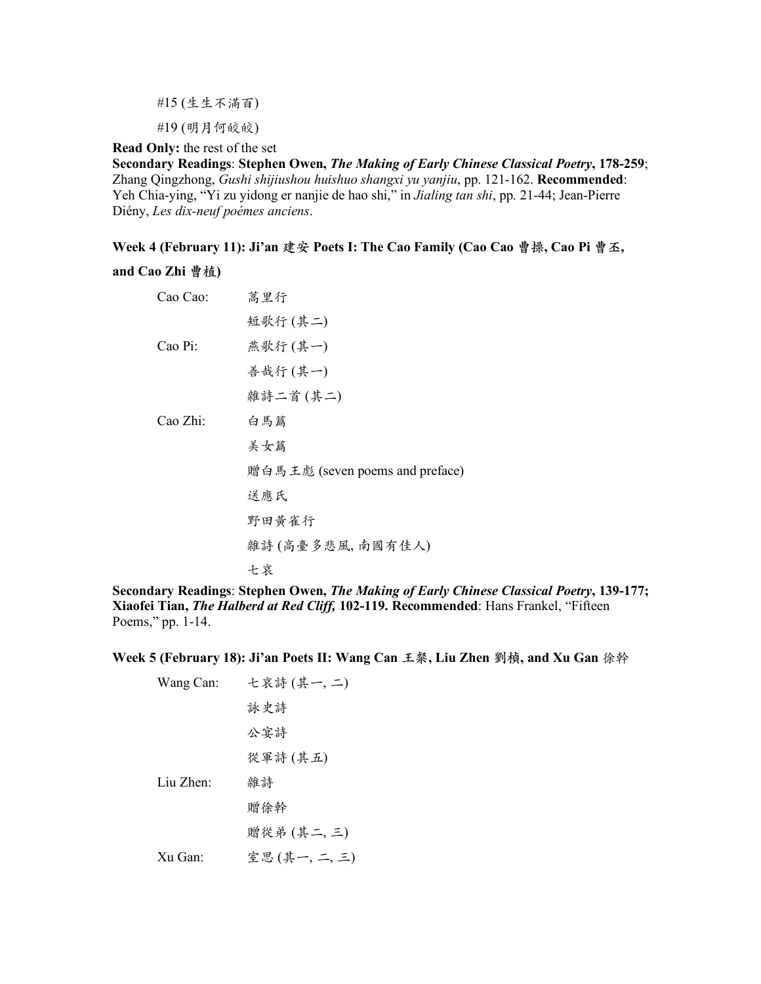#15 (⽣⽣不滿百)

#19 (明⽉何皎皎)

**Read Only:** the rest of the set

**Secondary Readings**: **Stephen Owen,** *The Making of Early Chinese Classical Poetry***, 178-259**; Zhang Qingzhong, *Gushi shijiushou huishuo shangxi yu yanjiu*, pp. 121-162. **Recommended**: Yeh Chia-ying, "Yi zu yidong er nanjie de hao shi," in *Jialing tan shi*, pp. 21-44; Jean-Pierre Diény, *Les dix-neuf poémes anciens*.

**Week 4 (February 11): Ji'an 建安 Poets I: The Cao Family (Cao Cao 曹操, Cao Pi 曹丕,** 

## **and Cao Zhi 曹植)**

| Cao Cao: | 蒿里行                             |
|----------|---------------------------------|
|          | 短歌行(其二)                         |
| Cao Pi:  | 燕歌行(其一)                         |
|          | 善哉行(其一)                         |
|          | 雜詩二首(其二)                        |
| Cao Zhi: | 白馬篇                             |
|          | 美女篇                             |
|          | 贈白馬王彪 (seven poems and preface) |
|          | 送應氏                             |
|          | 野田黄雀行                           |
|          | 雜詩(高臺多悲風,南國有佳人)                 |
|          | 七哀                              |

**Secondary Readings**: **Stephen Owen,** *The Making of Early Chinese Classical Poetry***, 139-177; Xiaofei Tian,** *The Halberd at Red Cliff,* **102-119. Recommended**: Hans Frankel, "Fifteen Poems," pp. 1-14.

**Week 5 (February 18): Ji'an Poets II: Wang Can 王粲, Liu Zhen 劉楨, and Xu Gan** 徐幹

| Wang Can:             | 七哀詩(其一,二)  |
|-----------------------|------------|
|                       | 詠史詩        |
|                       | 公宴詩        |
|                       | 從軍詩(其五)    |
| Liu Zhen <sup>-</sup> | 雜詩         |
|                       | 贈徐幹        |
|                       | 贈從弟(其二,三)  |
| $XU$ Gan              | 室思(其一,二,三) |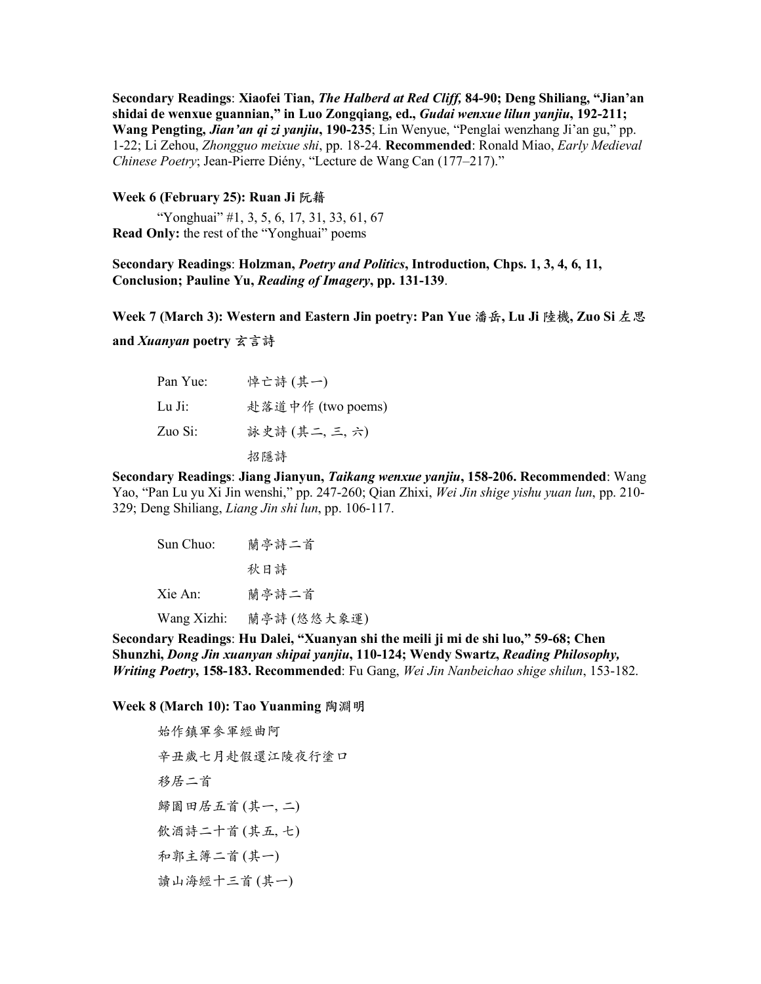**Secondary Readings**: **Xiaofei Tian,** *The Halberd at Red Cliff,* **84-90; Deng Shiliang, "Jian'an shidai de wenxue guannian," in Luo Zongqiang, ed.,** *Gudai wenxue lilun yanjiu***, 192-211; Wang Pengting,** *Jian'an qi zi yanjiu***, 190-235**; Lin Wenyue, "Penglai wenzhang Ji'an gu," pp. 1-22; Li Zehou, *Zhongguo meixue shi*, pp. 18-24. **Recommended**: Ronald Miao, *Early Medieval Chinese Poetry*; Jean-Pierre Diény, "Lecture de Wang Can (177–217)."

#### **Week 6 (February 25): Ruan Ji 阮籍**

"Yonghuai" #1, 3, 5, 6, 17, 31, 33, 61, 67 **Read Only:** the rest of the "Yonghuai" poems

## **Secondary Readings**: **Holzman,** *Poetry and Politics***, Introduction, Chps. 1, 3, 4, 6, 11, Conclusion; Pauline Yu,** *Reading of Imagery***, pp. 131-139**.

**Week 7 (March 3): Western and Eastern Jin poetry: Pan Yue 潘岳, Lu Ji 陸機, Zuo Si 左思**

**and** *Xuanyan* poetry 玄言詩

| Pan Yue: | 悼亡詩(其一)           |
|----------|-------------------|
| Lu Ji:   | 赴落道中作 (two poems) |
| Zuo Si:  | 詠史詩 (其二, 三, 六)    |
|          | 招隱詩               |

**Secondary Readings**: **Jiang Jianyun,** *Taikang wenxue yanjiu***, 158-206. Recommended**: Wang Yao, "Pan Lu yu Xi Jin wenshi," pp. 247-260; Qian Zhixi, *Wei Jin shige yishu yuan lun*, pp. 210- 329; Deng Shiliang, *Liang Jin shi lun*, pp. 106-117.

| Sun Chuo:   | 蘭亭詩二首       |
|-------------|-------------|
|             | 秋日詩         |
| Xie An:     | 蘭亭詩二首       |
| Wang Xizhi: | 蘭亭詩 (悠悠大象運) |

**Secondary Readings**: **Hu Dalei, "Xuanyan shi the meili ji mi de shi luo," 59-68; Chen Shunzhi,** *Dong Jin xuanyan shipai yanjiu***, 110-124; Wendy Swartz,** *Reading Philosophy, Writing Poetry***, 158-183. Recommended**: Fu Gang, *Wei Jin Nanbeichao shige shilun*, 153-182.

**Week 8 (March 10): Tao Yuanming 陶淵明**

始作鎮軍參軍經曲阿 辛丑歲七月赴假還江陵夜行塗口 移居二首 歸園田居五首(其一,二) 飲酒詩二十首(其五,七) 和郭主簿二首(其一) 讀山海經十三首(其一)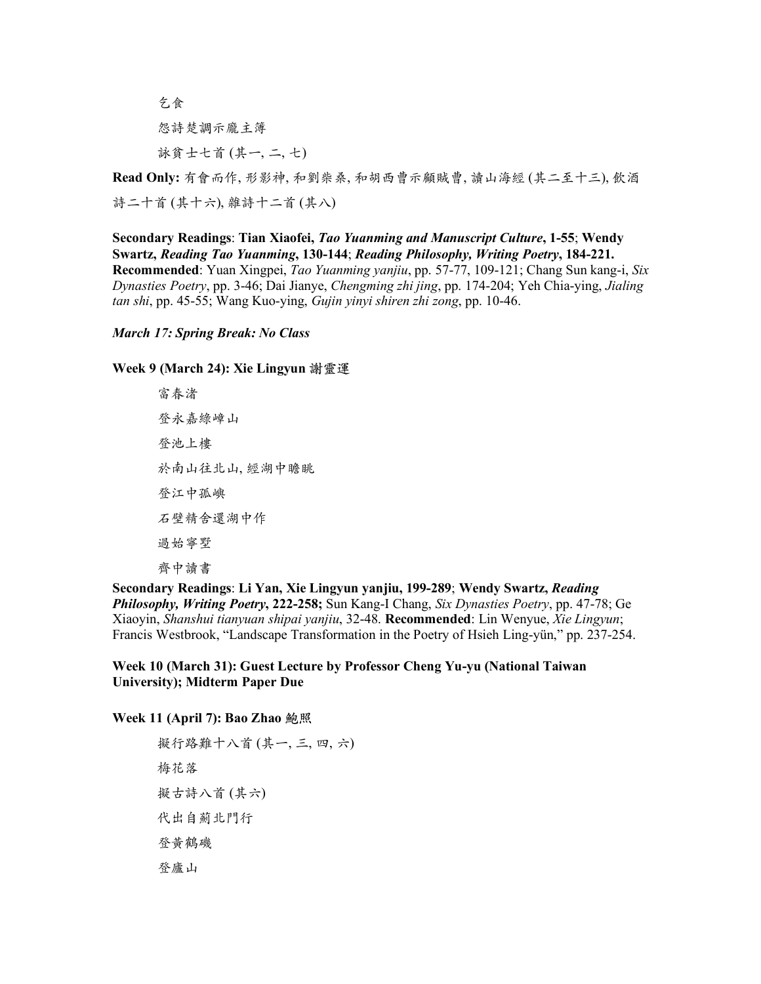乞⾷ 怨詩楚調示龐主簿 詠貧士七首 (其一, 二, 七)

Read Only: 有會而作, 形影神, 和劉柴桑, 和胡西曹示顧賊曹, 讀山海經 (其二至十三), 飲酒 詩二十首 (其十六), 雜詩十二首 (其八)

**Secondary Readings**: **Tian Xiaofei,** *Tao Yuanming and Manuscript Culture***, 1-55**; **Wendy Swartz,** *Reading Tao Yuanming***, 130-144**; *Reading Philosophy, Writing Poetry***, 184-221. Recommended**: Yuan Xingpei, *Tao Yuanming yanjiu*, pp. 57-77, 109-121; Chang Sun kang-i, *Six Dynasties Poetry*, pp. 3-46; Dai Jianye, *Chengming zhi jing*, pp. 174-204; Yeh Chia-ying, *Jialing tan shi*, pp. 45-55; Wang Kuo-ying, *Gujin yinyi shiren zhi zong*, pp. 10-46.

### *March 17: Spring Break: No Class*

**Week 9 (March 24): Xie Lingyun 謝靈運**

富春渚 登永嘉綠嶂山 登池上樓 於南山往北山, 經湖中瞻眺 登江中孤嶼 ⽯壁精舍還湖中作 過始寧墅 齊中讀書

**Secondary Readings**: **Li Yan, Xie Lingyun yanjiu, 199-289**; **Wendy Swartz,** *Reading Philosophy, Writing Poetry***, 222-258;** Sun Kang-I Chang, *Six Dynasties Poetry*, pp. 47-78; Ge Xiaoyin, *Shanshui tianyuan shipai yanjiu*, 32-48. **Recommended**: Lin Wenyue, *Xie Lingyun*; Francis Westbrook, "Landscape Transformation in the Poetry of Hsieh Ling-yün," pp. 237-254.

**Week 10 (March 31): Guest Lecture by Professor Cheng Yu-yu (National Taiwan University); Midterm Paper Due**

**Week 11 (April 7): Bao Zhao 鮑照**

擬行路難十八首(其一,三, 四, 六) 梅花落 擬古詩八首(其六) 代出自薊北門行 登黃鶴磯 登廬山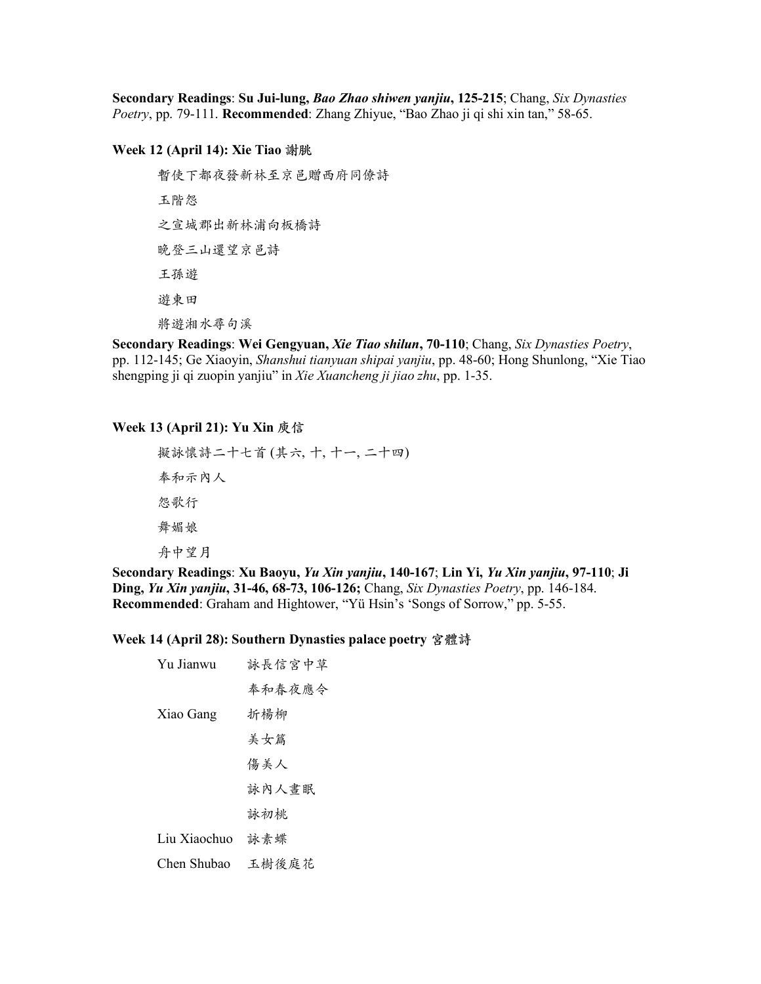**Secondary Readings**: **Su Jui-lung,** *Bao Zhao shiwen yanjiu***, 125-215**; Chang, *Six Dynasties Poetry*, pp. 79-111. **Recommended**: Zhang Zhiyue, "Bao Zhao ji qi shi xin tan," 58-65.

### **Week 12 (April 14): Xie Tiao 謝朓**

暫使下都夜發新林至京邑贈西府同僚詩 玉階怨 之宣城郡出新林浦向板橋詩 晚登三山還望京邑詩 王孫遊 遊東田 將遊湘水尋句溪

**Secondary Readings**: **Wei Gengyuan,** *Xie Tiao shilun***, 70-110**; Chang, *Six Dynasties Poetry*, pp. 112-145; Ge Xiaoyin, *Shanshui tianyuan shipai yanjiu*, pp. 48-60; Hong Shunlong, "Xie Tiao shengping ji qi zuopin yanjiu" in *Xie Xuancheng ji jiao zhu*, pp. 1-35.

# **Week 13 (April 21): Yu Xin 庾信**

```
擬詠懷詩二十七首(其六, 十, 十一, 二十四)
奉和示内人
怨歌行
舞媚娘
舟中望月
```
**Secondary Readings**: **Xu Baoyu,** *Yu Xin yanjiu***, 140-167**; **Lin Yi,** *Yu Xin yanjiu***, 97-110**; **Ji Ding,** *Yu Xin yanjiu***, 31-46, 68-73, 106-126;** Chang, *Six Dynasties Poetry*, pp. 146-184. **Recommended**: Graham and Hightower, "Yü Hsin's 'Songs of Sorrow," pp. 5-55.

#### **Week 14 (April 28): Southern Dynasties palace poetry 宮體詩**

| Yu Jianwu    | 詠長信宮中草 |
|--------------|--------|
|              | 奉和春夜應令 |
| Xiao Gang    | 折楊柳    |
|              | 美女篇    |
|              | 傷美人    |
|              | 詠內人書眠  |
|              | 詠初桃    |
| Liu Xiaochuo | 詠素蝶    |
| Chen Shubao  | 玉樹後庭花  |